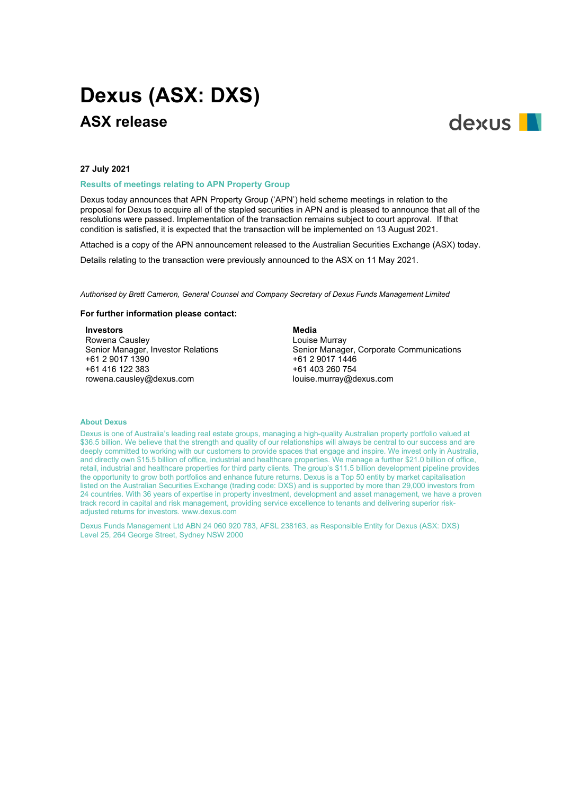# **Dexus (ASX: DXS) ASX release**



#### **27 July 2021**

**Results of meetings relating to APN Property Group**

Dexus today announces that APN Property Group ('APN') held scheme meetings in relation to the proposal for Dexus to acquire all of the stapled securities in APN and is pleased to announce that all of the resolutions were passed. Implementation of the transaction remains subject to court approval. If that condition is satisfied, it is expected that the transaction will be implemented on 13 August 2021.

Attached is a copy of the APN announcement released to the Australian Securities Exchange (ASX) today.

Details relating to the transaction were previously announced to the ASX on 11 May 2021.

*Authorised by Brett Cameron, General Counsel and Company Secretary of Dexus Funds Management Limited*

# **For further information please contact:**

**Investors**

Rowena Causley Senior Manager, Investor Relations +61 2 9017 1390 +61 416 122 383 rowena.causley@dexus.com

**Media** Louise Murray Senior Manager, Corporate Communications +61 2 9017 1446 +61 403 260 754 louise.murray@dexus.com

#### **About Dexus**

Dexus is one of Australia's leading real estate groups, managing a high-quality Australian property portfolio valued at \$36.5 billion. We believe that the strength and quality of our relationships will always be central to our success and are deeply committed to working with our customers to provide spaces that engage and inspire. We invest only in Australia, and directly own \$15.5 billion of office, industrial and healthcare properties. We manage a further \$21.0 billion of office, retail, industrial and healthcare properties for third party clients. The group's \$11.5 billion development pipeline provides the opportunity to grow both portfolios and enhance future returns. Dexus is a Top 50 entity by market capitalisation listed on the Australian Securities Exchange (trading code: DXS) and is supported by more than 29,000 investors from 24 countries. With 36 years of expertise in property investment, development and asset management, we have a proven track record in capital and risk management, providing service excellence to tenants and delivering superior riskadjusted returns for investors. www.dexus.com

Dexus Funds Management Ltd ABN 24 060 920 783, AFSL 238163, as Responsible Entity for Dexus (ASX: DXS) Level 25, 264 George Street, Sydney NSW 2000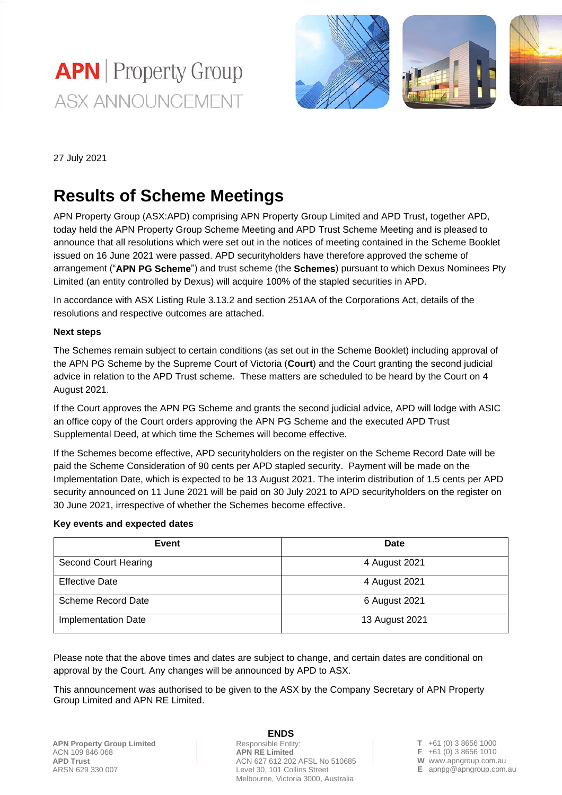



27 July 2021

# **Results of Scheme Meetings**

APN Property Group (ASX:APD) comprising APN Property Group Limited and APD Trust, together APD, today held the APN Property Group Scheme Meeting and APD Trust Scheme Meeting and is pleased to announce that all resolutions which were set out in the notices of meeting contained in the Scheme Booklet issued on 16 June 2021 were passed. APD securityholders have therefore approved the scheme of arrangement ("**APN PG Scheme**") and trust scheme (the **Schemes**) pursuant to which Dexus Nominees Pty Limited (an entity controlled by Dexus) will acquire 100% of the stapled securities in APD.

In accordance with ASX Listing Rule 3.13.2 and section 251AA of the Corporations Act, details of the resolutions and respective outcomes are attached.

## **Next steps**

The Schemes remain subject to certain conditions (as set out in the Scheme Booklet) including approval of the APN PG Scheme by the Supreme Court of Victoria (**Court**) and the Court granting the second judicial advice in relation to the APD Trust scheme. These matters are scheduled to be heard by the Court on 4 August 2021.

If the Court approves the APN PG Scheme and grants the second judicial advice, APD will lodge with ASIC an office copy of the Court orders approving the APN PG Scheme and the executed APD Trust Supplemental Deed, at which time the Schemes will become effective.

If the Schemes become effective, APD securityholders on the register on the Scheme Record Date will be paid the Scheme Consideration of 90 cents per APD stapled security. Payment will be made on the Implementation Date, which is expected to be 13 August 2021. The interim distribution of 1.5 cents per APD security announced on 11 June 2021 will be paid on 30 July 2021 to APD securityholders on the register on 30 June 2021, irrespective of whether the Schemes become effective.

## **Key events and expected dates**

| Event                 | Date           |
|-----------------------|----------------|
| Second Court Hearing  | 4 August 2021  |
| <b>Effective Date</b> | 4 August 2021  |
| Scheme Record Date    | 6 August 2021  |
| Implementation Date   | 13 August 2021 |

Please note that the above times and dates are subject to change, and certain dates are conditional on approval by the Court. Any changes will be announced by APD to ASX.

This announcement was authorised to be given to the ASX by the Company Secretary of APN Property Group Limited and APN RE Limited.

#### **ENDS**

Responsible Entity: **APN RE Limited** ACN 627 612 202 AFSL No 510685 Level 30, 101 Collins Street Melbourne, Victoria 3000, Australia

**T** +61 (0) 3 8656 1000 **F** +61 (0) 3 8656 1010 **W** www.apngroup.com.au

**E** apnpg@apngroup.com.au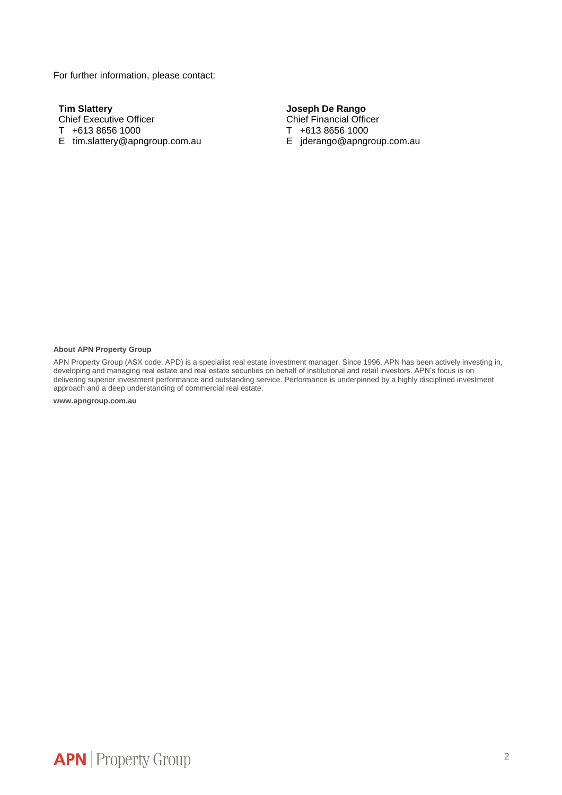For further information, please contact:

**Tim Slattery** Chief Executive Officer T +613 8656 1000 E tim.slattery@apngroup.com.au

# **Joseph De Rango**

Chief Financial Officer T +613 8656 1000 E jderango@apngroup.com.au

#### **About APN Property Group**

APN Property Group (ASX code: APD) is a specialist real estate investment manager. Since 1996, APN has been actively investing in, developing and managing real estate and real estate securities on behalf of institutional and retail investors. APN's focus is on delivering superior investment performance and outstanding service. Performance is underpinned by a highly disciplined investment approach and a deep understanding of commercial real estate.

**www.apngroup.com.au**

**APN** Property Group